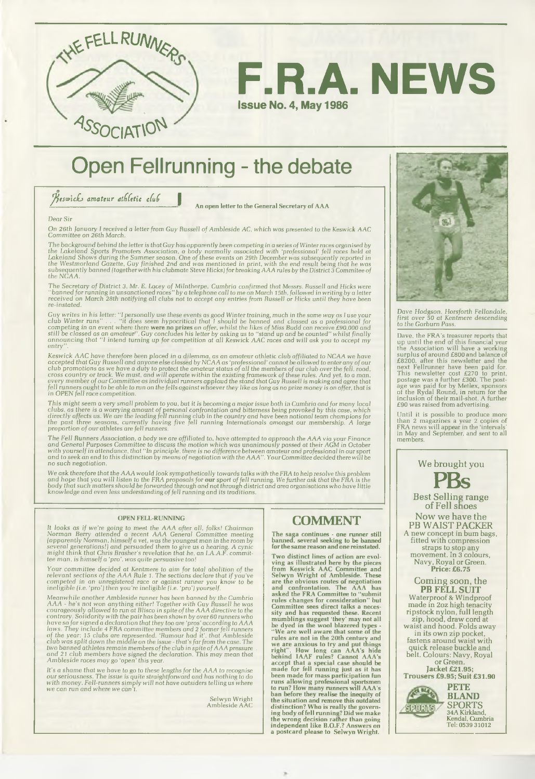



## **Open Fellrunning - the debate**

 $\beta$ eswick amateur athletic club

**An open letter to the General Secretary of AAA**

#### *Dear Sir*

*On 26th January I received a letter from Guy Russell of Ambleside AC, which was* presented to *the Keswick AAC Com m ittee on 26th March.*

The background behind the letter is that Guy has apparently been competing in a series of Winter races organised by<br>the Lakeland Sports Promoters Association, a body normally associated with 'professional' fell races held *the NCAA.*

The Secretary of District 3, Mr. E. Lacey of Milnthorpe, Cumbria confirmed that Messrs. Russell and Hicks were<br>''banned for running in unsanctioned races'' by a telephone call to me on March 15th, followed in writing by a<br> *re-instated.*

Guy writes in his letter: "I personally use these events as good Winter training, much in the same way as I use your<br>club Winter runs".... "it does seem hypocritical that I should be banned and classed as a professional f *en try ".*

Keswick AAC have therefore been placed in a dilemma, as an amateur athletic club affiliated to NCAA we have<br>accepted that Guy Russell and anyone else classed by NCAA as 'professional' cannot be allowed to enter any of our<br>

This might seem a very small problem to you, but it is becoming a major issue both in Cumbria and for many locai<br>clubs, as there is a worrying amount of personal confrontation and bitterness being provoked by this case, wh

The Fell Hunners Association, a body we are affiliated to, have attempted to approach the AAA via your Finance<br>and General Purposes Committee to discuss the motion which was unanimously passed at their AGM in October<br>with

We *ask therefore that the AAA would look sym pathetically towards talks with the FRA to help resolve this problem* and hope that you will listen to the FRA proposals for **our** sport of fell running. We further ask that the FRA is the<br>body that such matters should be forwarded through and not through district and area organisations who

#### **OPEN FELL-RUNNING**

It looks as if we're going to meet the AAA after all, folks! Chairman<br>Norman Berry attended a recent AAA General Committee meeting<br>(apparently Norman, himself a vet, was the youngest man in the room by<br>several generations!

Your committee decided at Kentmere to aim for total abolition of the<br>relevant sections of the AAA Rule 1. The sections declare that if you've<br>competed in an unregistered race or against runner you know to be<br>ineligible (i.

Meanwhile another Ambleside runner has been banned by the Cumbria<br>AAA - he's not won anything either! Together with Guy Russell he was<br>courageously allowed to run at Blisco in spite of the AAA directive to the<br>contrary. So

It's a shame that we have to go to these lengths for the AAA to recognise<br>our seriousness. The issue is quite straightforward and has nothing to do<br>with money. Fell-runners simply will not have outsiders telling us where<br>w

Selwyn Wright Ambleside AAC

## **COMMENT**

**The saga continues - one runner still banned, several seeking to be banned for the same reason and one reinstated.**

Two distinct lines of action are evol-<br>ving as illustrated here by the pieces<br>from Keswick AAC Committee and<br>Selwyn Wright of Ambleside. These<br>are the obvious routes of negotiation<br>and confrontation. The AAA has<br>asked the



*Dave Hodgson, Horsforth Fellandale, first over 50 at Kentmere* descending to *the Garb urn Pass.*

Dave, the FRA's treasurer reports that<br>up until the end of this financial year<br>the Association will have a working<br>surplus of around £800 and balance of<br> $£8200$ , after this newsletter and the<br>next Fellrunner have been pai  $£90$  was raised from advertising.

Until it is possible to produce more than 2 magazines a year 2 copies of FRA news will appear in the 'intervals' in May and September, and sent to all members.



Now we have the PB WAIST PACKER A new concept in bum bags, fitted with compression straps to stop any m ovem ent. In 3 colours, Navy, Royal or Green. **Price: £6.75**

Coming soon, the **PB FELL SUIT** Waterproof & Windproof m ade in 2oz high tenacity ripstock nylon, full length zip, hood, draw cord at w aist and hood. Folds away in its own zip pocket, fastens around waist with quick release buckle and belt. Colours: Navy, Royal or Green. **Jacket £21.95; Trousers £9.95; Suit £31.90 PETE BLAND SPORTS** SPOR

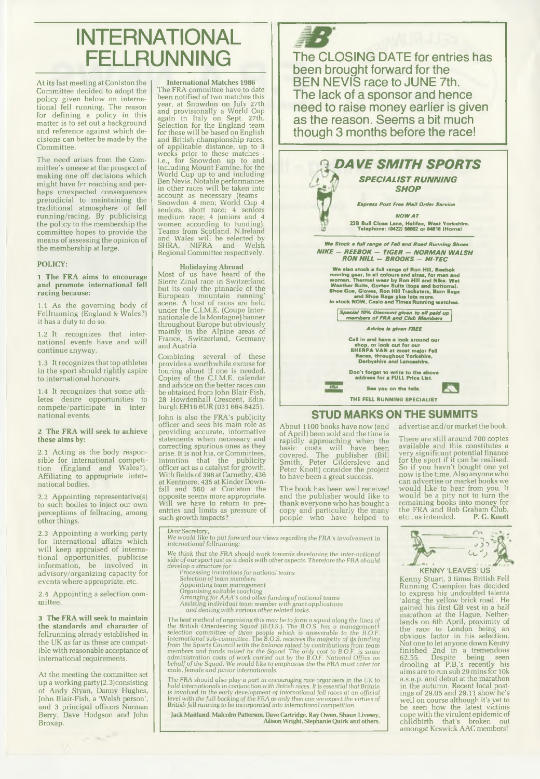# **INTERNATIONAL FELLRUNNING**

At its last meeting at Coniston the Committee decided to adopt the policy given below on international fell running. The reason for defining a policy in this m atter is to set out a background and reference against which decisions can better be made by the Committee.

The need arises from the Committee's unease at the prospect of making one off decisions which might have far reaching and perhaps unexpected consequences prejudicial to maintaining the traditional atm osphere of fell running/racing. By publicising the policy to the membership the committee hopes to provide the means of assessing the opinion of the membership at large.

#### **POLICY:**

#### **1 The FRA aims to encourage and promote international fell racing because:**

1.1 As the governing body of Fellrunning (England & Wales?) it has a duty to do so.

1.2 It recognizes that international events have and will continue anyway.

1.3 It recognizes that top athletes in the sport should rightly aspire to international honours.

1.4 It recognizes that some athletes desire opportunities to com pete/participate in international events.

#### **2 The FRA will seek to achieve** these aims by:

2.1 Acting as the body responsible for international com petition (England and Wales?). Affiliating to appropriate international bodies.

2.2 Appointing representative(s) to such bodies to inject our own perceptions of fellracing, among other things.

2.3 Appointing a working party for international affairs which will keep appraised of international opportunities, publicise information, be involved in advisory/organizing capacity for events where appropriate, etc.

2.4 Appointing a selection committee

3 **The FRA will seek to maintain the standards and character** of fellrunning already established in the UK as far as these are compatible with reasonable acceptance of international requirements.

At the meeting the committee set up a working party (2.3)consisting of Andy Styan, Danny Hughes, John Blair-Fish, a 'Welsh person', and 3 principal officers Norman Berry. Dave Hodgson and John Broxap.

 $\omega_{\rm in} \, e^{-\beta}$ 

#### **International Matches 1986**

The FRA committee have to date been notified of two matches this year, at Snowdon on July 27th and provisionally a World Cup again in Italy on Sept. 27th. Selection for the England team for these will be based on English and British championship races,<br>of applicable distance, up to 3<br>weeks prior to these matches i.e., for Snowdon up to and including Mount Famine, for the mold Cup up to and including Ben Nevis. Notable performances<br>Ben Nevis. Notable performances<br>in other races will be taken into<br>account as necessary (teams Snowdon 4 men; World Cup 4 seniors, short race; 4 seniors medium race; 4 juniors and 4 women according to funding). Teams from Scotland, N.Ireland and Wales will be selected by SHRA, NIFRA and Welsh Regional Committee respectively.

#### **Holidaying Abroad**

Most of us have heard of the Sierre Zinal race in Switzerland but its only the pinnacle of the European 'm ountain running' scene. A host of races are held under the C.I.M.E. (Coupe Internationale de la Montagne) banner throughout Europe but obviously mainly in the Alpine areas of France, Switzerland, Germany and Austria.

Combining several of these provides a worthwhile excuse for touring about if one is needed. Copies of the C.I.M.E. calendar and advice on the better races can be obtained from John Blair-Fish, 28 Howdenhall Crescent, Edin-burgh EH16 6UR (031 664 8425).

John is also the FRA's publicity officer and sees his main role as providing accurate, informative statements when necessary and correcting spurious ones as they arise. It is not his, or Committees, intention that the publicity officer act as a catalyst for growth. With fields of 398 at Carnethy, 436 at Kentmere, 435 at Kinder Down-fall and 560 at Coniston the opposite seems more appropriate. Will we have to return to preentries and limits as pressure of such growth impacts?



been brought forward for the BEN NEVIS race to JUNE 7th. The lack of a sponsor and hence need to raise money earlier is given as the reason. Seems a bit much though 3 months before the race!



About 1100 books have now (end of April) been sold and the time is rapidly approaching w hen the basic costs will have been covered. The publisher (Bill Sm ith, Peter Gildersleve and Peter Knott) consider the project to have been a great succes.

The book has been well received and the publisher would like to thank everyone who has bought a copy and particularly the many people w ho have helped to advertise and/or market the book.

There are still around 700 copies<br>available and this constitutes a<br>very significant potential finance<br>for the sport if it can be realised.<br>So if you havn't bought one yet<br>now is the time. Also anyone who<br>can advertise or m would like to hear from you. It w ould be a pity not to turn the rem aining books into money for the FRA and Bob Graham Club, etc., as intended. **P. G. Knott**



Dear *Secretary, We* would *like to put forward our views* regarding *the* FRA's *involvement* in international *fel*/running:

We think that the FRA *should work towards* developing the *inter-national side* o/our sport just as it deals with other aspects. *Therefore* the FRA should

- 
- 
- 
- 
- develop a structure for:<br>Processing invitations for national teams<br>Selection of team members<br>Appointing team management<br>Organising suitable coaching<br>Arranging for AAA's and other funding of national teams<br>Assisting individ

The best method of organising this may be to form a squad along the lines of<br>the British Orienteering Squad (B.O.S.). The B.O.S. has a management<br>selection committee of three people which is answerable to the B.O.F.<br>inter

The FRA should also play a part in encouraging race organisers in the UK to<br>hold internationals in conjunction with British races. It is essential that Britain<br>is involved in the early development of international fell rac

**Jack Maitland, Malcolm Patterson, Dave Cartridge, Ray Owen, Shaun Uvesey, Alison Wright, Stephanie Quirk and others.**

Kenny Stuart, 3 times British Fell Running Champion has decided to express his undoubted talents 'along the yellow brick road'. He gained his first GB vest in a half m arathon at the Hague, Nether-lands on 6th April, proximity of the race to London being an obvious factor in his selection. Not one to let anyone down Kenny finished 2nd in a tremendous 62.55. Despite being seen drooling at P.B.'s recently his aim s are to run sub 29 mins for 10k a.s.a.p. and debut at the marathon in the autumn. Recent local postings of 29.05 and 29.11 show he's well on course although it's yet to be seen how the latest victims cope w ith the virulent epidemic of childbirth that's broken out<br>amongst Keswick AAC members!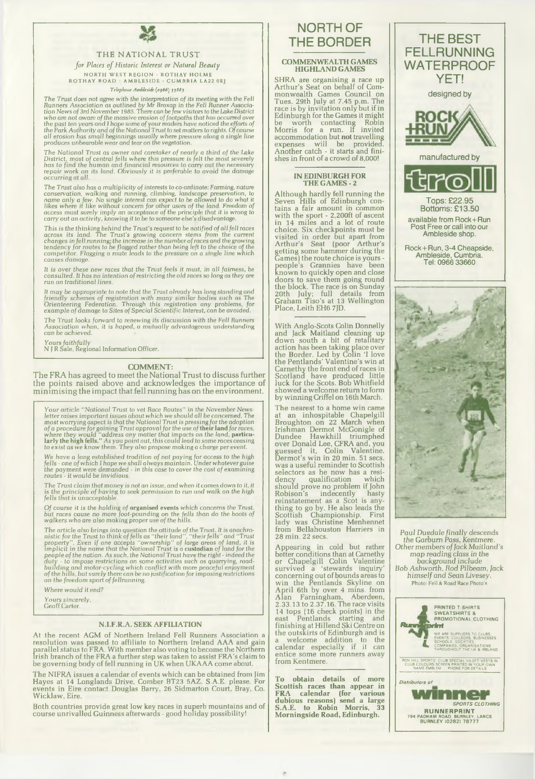

#### THE NATIONAL TRUST

*for Places of Historic Interest or Natural Beauty* N ORTH WEST REGION • ROTHAY HOLME<br>ROTHAY ROAD • AMBLESIDE • CUMBRIA LA22 0EJ

#### *Telephone Amhleside (0966*) *33883*

The Trust does not agree with the interpretation of its meeting with the Fell<br>Runners Association as outlined by Mr Broxop in the Fell Runner Association<br>Runn News of 3rd November 1985. There can be few visitors to the Lak

The National Trust as owner and carelaker of nearly a third of the Lake<br>District, most of central fells where this pressure is felt the most severely<br>has to find the human and financial resources to carry out the necessary *rep air work on its land. Obviously it is preferable to avoid the damage occurring at all.*

*The Trust also has a m ultiplicity of interests to co-ordinate:* Farming, nature conservation, walking and running, climbing, landscape preservation, to<br>name only a few. No single interest can expect to be allowed to do what it<br>likes where it like without concern for other users of the land. Freedom of

This is the thinking behind the Trust's request to be notified of all fell races<br>across its land. The Trust's growing concern stems from the current<br>changes in fell running; the increase in the number of races and the grow *causes damage.*

*It is over these new races that the* Trust *feels it* must, in *all fairness, be consulted. It has* no *intention of restricting the old races so long as they are run on traditional lines.*

It may be appropriate to note that the Trust already has long standing and<br>friendly schemes of registration with many similar bodies such as The<br>Orienteering Federation. Through this registration any problems, for *exam ple of dam age to Sites of Special Scientific Interest, can be avoided.*

*The Trust looks forward to* renewing its *discussion with the Fell* Runners *A ssociation* when, *it is hoped, a m utually advantageous* understanding can *be achieved.*

*Yours faithfully* N J R Sale, Regional Information Officer.

COMMENT:

The FRA has agreed to meet the National Trust to discuss further the points raised above and acknowledges the importance of minimising the impact that fell running has on the environment.

Your article "National Trust to vet Race Routes" in the November News-<br>letter raises important issues about which we should all be concerned. The<br>most worrying aspect is that the National Trust is pressing for the adoption

We have a long established tradition of not paying for access to the high<br>fells - one of which I hope we shall always maintain. Under whatever guise<br>the payment were demanded - in this case to cover the cost of examining<br>r

*The Trust claim that* money is *not an issue, and when it* comes down *to it, it is the principle of having to seek* permission *to* run *and walk on* the *high* fells that is unacceptable

Of course it is the holding of **organised events** which concerns the Trust,<br>but races cause no more foot-pounding on the fells than do the boots of<br>walkers who are also making proper use of the hills.

The article also brings into question the attitude of the Trust. It is anachro-<br>nistic for the Trust to think of fells as "their land", "their fells" and "Trust<br>property". Even if one accepts "ownership" of large areas of

*Where would it end?*

*Yours sincerely,* Geoff Carter.

#### **N.I.F.R.A. SEEK AFFILIATION**

At the recent AGM of Northern Ireland Fell Runners Association a<br>resolution was passed to affiliate to Northern Ireland AAA and gain<br>parallel status to FRA. With member also voting to become the Northern<br>Irish branch of th

T he NIFRA issues a calendar of events which can be obtained from Jim Hayes at 14 Longlands Drive, Comber BT23 5AZ. S.A.E. please. For events in Eire contact Douglas Barry, 26 Sidmarton Court, Bray, Co. Wicklaw, Eire.

Both countries provide great low key races in superb mountains and of course unrivalled Guinness afterwards - good holiday possibility!

## NORTH OF THE BORDER

## **COMMENWEALTH GAMES HIGHLAND GAMES**

SHRA are organising a race up<br>Arthur's Seat on behalf of Comm onw ealth Games Council on Tues. 29th July at 7.45 p.m. The race is by invitation only but if in Edinburgh for the Games it might<br>he worth contacting Robin be worth contacting Robin M orris for a run. If invited accom m odation but **not** travelling expenses will be provided. A nother catch - it starts and finishes in front of a crowd of 8,000!

#### **IN EDINBURGH FOR THE GAMES - 2**

A lthough hardly fell running the Seven Hills of Edinburgh con-tains a fair am ount in common with the sport - 2,200ft of ascent<br>in 14 miles and a lot of route<br>choice. Six checkpoints must be<br>visited in order but apart from<br>Arthur's Seat (poor Arthur's<br>getting some hammer during the Games) the route choice is yours people's Grannies have been known to quickly open and close doors to save them going round the block. The race is on Sunday 2 0th July; full details from G raham T iso's at 13 W ellington Place, Leith EH6 7JD.

With Anglo-Scots Colin Donnelly<br>and Jack Maitland cleaning up<br>down south a bit of retalitary action has been taking place over<br>the Border. Led by Colin 'I love<br>the Pentlands' Valentine's win at Carnethy the front end of races in Scotland have produced little luck for the Scots. Bob Whitfield<br>showed a welcome return to form by winning Criffel on 16th March.

The nearest to a home win came at an inhospitable Chapelgill<br>Broughton on 22 March when<br>Irishman Dermot McGonigle of Dundee Hawkhill triumphed<br>over Donald Lee, CFRA and, you<br>guessed it, Colin Valentine. Dermot's win in 20 min. 51 secs. was a useful reminder to Scottish selectors as he now has a resi-<br>dency qualification which dency qualification which should prove no problem if John Robison's indecently hasty reinstatem ent as a Scot is anything to go by. He also leads the<br>Scottish Championship. First lady was Christine Menhennet<br>from Bellahouston Harriers in 28 min. 22 secs.

A ppearing in cold but rather better conditions than at Camethy or C hapelgill Colin Valentine survived a 'stewards inquiry' concerning out of bounds areas to w in the Pentlands Skyline on A pril 6th by over 4 mins. from Alan Farningham, Aberdeen, 2 .33.13 to 2.37.16. The race visits 14 tops (16 check points) in the east Pentlands starting and<br>finishing at Hillend Ski Centre on the outskirts of Edinburgh and is a welcome addition to the calendar especially if it can entice some more runners away from Kentmere.

**To obtain details of more Scottish races than appear in FRA calendar (for various dubious reasons) send a large S.A.E. to Robin Morris, 33 M orningside Road, Edinburgh.**



Paul *D uedale finally* descends the Garburn Pass, Kentmere.<br>Other members of *Jack Maitland's*<br>map reading class in the background include *Bob Ashworth, Rod* Pilbearn, *Jack* him self and Sean Livesey. Photo: Fell & Road Race Photo's